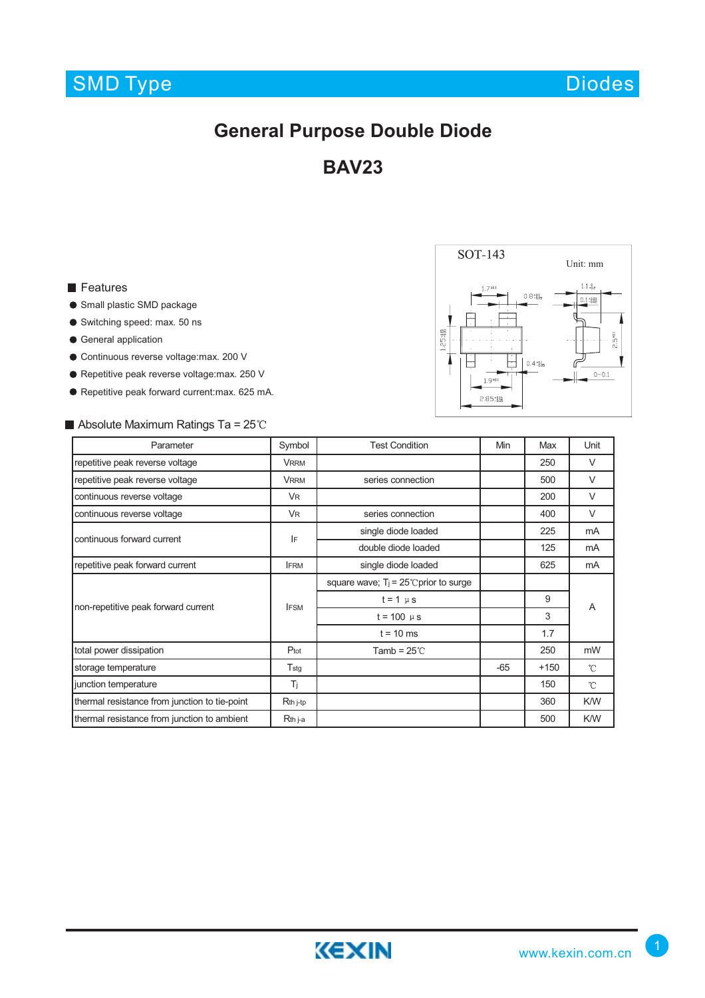Diodes

## **General Purpose Double Diode**

**BAV23**

### **Features**

- Small plastic SMD package
- Switching speed: max. 50 ns
- **General application**
- Continuous reverse voltage:max. 200 V
- Repetitive peak reverse voltage:max. 250 V
- Repetitive peak forward current:max. 625 mA.

## $\blacksquare$  Absolute Maximum Ratings Ta = 25°C

| Parameter                                     | Symbol           | <b>Test Condition</b>                    | Min   | Max    | Unit                |
|-----------------------------------------------|------------------|------------------------------------------|-------|--------|---------------------|
| repetitive peak reverse voltage               | <b>VRRM</b>      |                                          |       | 250    | $\vee$              |
| repetitive peak reverse voltage               | <b>VRRM</b>      | series connection                        |       | 500    | $\vee$              |
| continuous reverse voltage                    | <b>VR</b>        |                                          |       | 200    | $\vee$              |
| continuous reverse voltage                    | <b>VR</b>        | series connection                        |       | 400    | $\vee$              |
| continuous forward current                    | IF               | single diode loaded                      |       | 225    | mA                  |
|                                               |                  | double diode loaded                      |       | 125    | mA                  |
| repetitive peak forward current               | <b>IFRM</b>      | single diode loaded                      |       | 625    | mA                  |
| non-repetitive peak forward current           | <b>IFSM</b>      | square wave; $T_i = 25$ C prior to surge |       |        | A                   |
|                                               |                  | $t = 1$ $\mu$ s                          |       | 9      |                     |
|                                               |                  | $t = 100 \mu s$                          |       | 3      |                     |
|                                               |                  | $t = 10$ ms                              |       | 1.7    |                     |
| total power dissipation                       | $P_{\text{tot}}$ | Tamb = $25^{\circ}$ C                    |       | 250    | mW                  |
| storage temperature                           | $T_{\text{stg}}$ |                                          | $-65$ | $+150$ | °C                  |
| junction temperature                          | Ti               |                                          |       | 150    | $\int_{0}^{\infty}$ |
| thermal resistance from junction to tie-point | Rth j-tp         |                                          |       | 360    | K/W                 |
| thermal resistance from junction to ambient   | Rth j-a          |                                          |       | 500    | K/W                 |